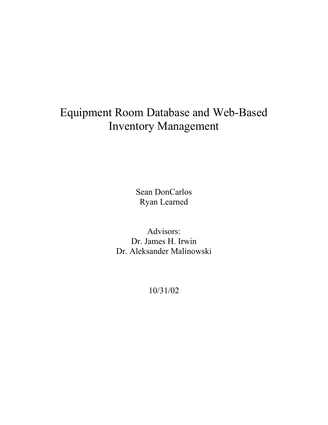# Equipment Room Database and Web-Based Inventory Management

Sean DonCarlos Ryan Learned

Advisors: Dr. James H. Irwin Dr. Aleksander Malinowski

10/31/02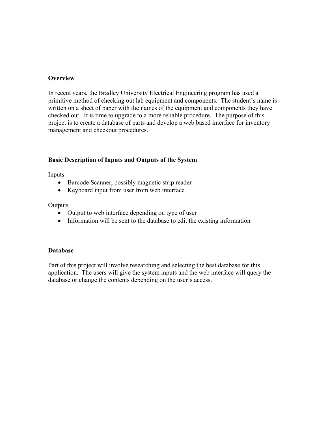## **Overview**

In recent years, the Bradley University Electrical Engineering program has used a primitive method of checking out lab equipment and components. The student's name is written on a sheet of paper with the names of the equipment and components they have checked out. It is time to upgrade to a more reliable procedure. The purpose of this project is to create a database of parts and develop a web based interface for inventory management and checkout procedures.

### **Basic Description of Inputs and Outputs of the System**

Inputs

- Barcode Scanner, possibly magnetic strip reader
- Keyboard input from user from web interface

**Outputs** 

- Output to web interface depending on type of user
- Information will be sent to the database to edit the existing information

#### **Database**

Part of this project will involve researching and selecting the best database for this application. The users will give the system inputs and the web interface will query the database or change the contents depending on the user's access.